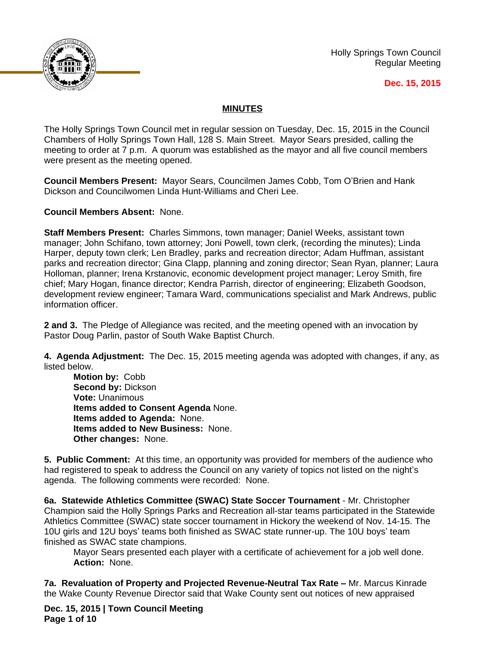

Holly Springs Town Council Regular Meeting

### **Dec. 15, 2015**

# **MINUTES**

The Holly Springs Town Council met in regular session on Tuesday, Dec. 15, 2015 in the Council Chambers of Holly Springs Town Hall, 128 S. Main Street. Mayor Sears presided, calling the meeting to order at 7 p.m. A quorum was established as the mayor and all five council members were present as the meeting opened.

**Council Members Present:** Mayor Sears, Councilmen James Cobb, Tom O'Brien and Hank Dickson and Councilwomen Linda Hunt-Williams and Cheri Lee.

**Council Members Absent:** None.

**Staff Members Present:** Charles Simmons, town manager; Daniel Weeks, assistant town manager; John Schifano, town attorney; Joni Powell, town clerk, (recording the minutes); Linda Harper, deputy town clerk; Len Bradley, parks and recreation director; Adam Huffman, assistant parks and recreation director; Gina Clapp, planning and zoning director; Sean Ryan, planner; Laura Holloman, planner; Irena Krstanovic, economic development project manager; Leroy Smith, fire chief; Mary Hogan, finance director; Kendra Parrish, director of engineering; Elizabeth Goodson, development review engineer; Tamara Ward, communications specialist and Mark Andrews, public information officer.

**2 and 3.** The Pledge of Allegiance was recited, and the meeting opened with an invocation by Pastor Doug Parlin, pastor of South Wake Baptist Church.

**4. Agenda Adjustment:** The Dec. 15, 2015 meeting agenda was adopted with changes, if any, as listed below.

**Motion by:** Cobb **Second by:** Dickson **Vote:** Unanimous **Items added to Consent Agenda** None. **Items added to Agenda:** None. **Items added to New Business:** None. **Other changes:** None.

**5. Public Comment:** At this time, an opportunity was provided for members of the audience who had registered to speak to address the Council on any variety of topics not listed on the night's agenda. The following comments were recorded: None.

**6a. Statewide Athletics Committee (SWAC) State Soccer Tournament** - Mr. Christopher Champion said the Holly Springs Parks and Recreation all-star teams participated in the Statewide Athletics Committee (SWAC) state soccer tournament in Hickory the weekend of Nov. 14-15. The 10U girls and 12U boys' teams both finished as SWAC state runner-up. The 10U boys' team finished as SWAC state champions.

Mayor Sears presented each player with a certificate of achievement for a job well done. **Action:** None.

**7a. Revaluation of Property and Projected Revenue-Neutral Tax Rate –** Mr. Marcus Kinrade the Wake County Revenue Director said that Wake County sent out notices of new appraised

**Dec. 15, 2015 | Town Council Meeting Page 1 of 10**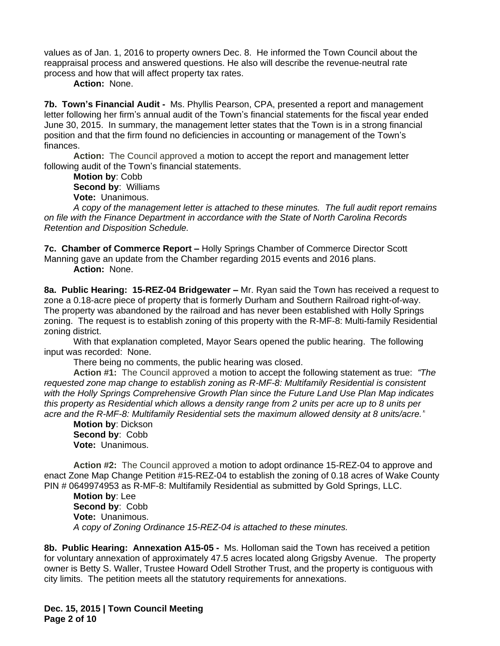values as of Jan. 1, 2016 to property owners Dec. 8. He informed the Town Council about the reappraisal process and answered questions. He also will describe the revenue-neutral rate process and how that will affect property tax rates.

**Action:** None.

**7b. Town's Financial Audit -** Ms. Phyllis Pearson, CPA, presented a report and management letter following her firm's annual audit of the Town's financial statements for the fiscal year ended June 30, 2015. In summary, the management letter states that the Town is in a strong financial position and that the firm found no deficiencies in accounting or management of the Town's finances.

**Action:** The Council approved a motion to accept the report and management letter following audit of the Town's financial statements.

**Motion by**: Cobb **Second by**: Williams **Vote:** Unanimous.

*A copy of the management letter is attached to these minutes. The full audit report remains on file with the Finance Department in accordance with the State of North Carolina Records Retention and Disposition Schedule.*

**7c. Chamber of Commerce Report –** Holly Springs Chamber of Commerce Director Scott Manning gave an update from the Chamber regarding 2015 events and 2016 plans. **Action:** None.

**8a. Public Hearing: 15-REZ-04 Bridgewater –** Mr. Ryan said the Town has received a request to zone a 0.18-acre piece of property that is formerly Durham and Southern Railroad right-of-way. The property was abandoned by the railroad and has never been established with Holly Springs zoning. The request is to establish zoning of this property with the R-MF-8: Multi-family Residential zoning district.

With that explanation completed, Mayor Sears opened the public hearing. The following input was recorded: None.

There being no comments, the public hearing was closed.

**Action #1:** The Council approved a motion to accept the following statement as true: *"The requested zone map change to establish zoning as R-MF-8: Multifamily Residential is consistent with the Holly Springs Comprehensive Growth Plan since the Future Land Use Plan Map indicates this property as Residential which allows a density range from 2 units per acre up to 8 units per acre and the R-MF-8: Multifamily Residential sets the maximum allowed density at 8 units/acre."*

**Motion by**: Dickson **Second by**: Cobb **Vote:** Unanimous.

**Action #2:** The Council approved a motion to adopt ordinance 15-REZ-04 to approve and enact Zone Map Change Petition #15-REZ-04 to establish the zoning of 0.18 acres of Wake County PIN # 0649974953 as R-MF-8: Multifamily Residential as submitted by Gold Springs, LLC.

**Motion by**: Lee **Second by**: Cobb **Vote:** Unanimous. *A copy of Zoning Ordinance 15-REZ-04 is attached to these minutes.*

**8b. Public Hearing: Annexation A15-05 -** Ms. Holloman said the Town has received a petition for voluntary annexation of approximately 47.5 acres located along Grigsby Avenue. The property owner is Betty S. Waller, Trustee Howard Odell Strother Trust, and the property is contiguous with city limits. The petition meets all the statutory requirements for annexations.

**Dec. 15, 2015 | Town Council Meeting Page 2 of 10**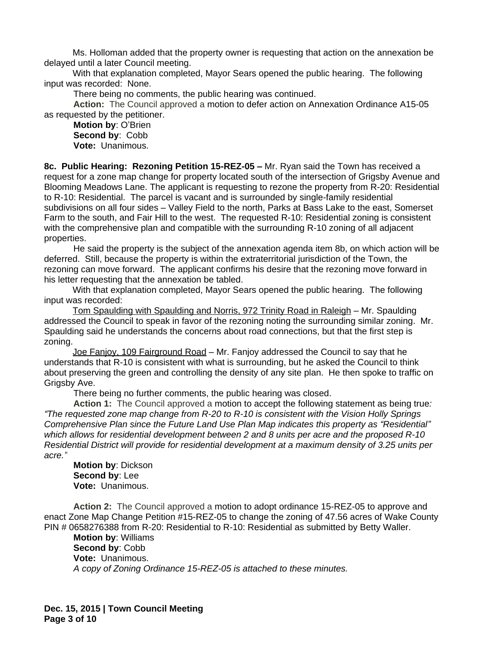Ms. Holloman added that the property owner is requesting that action on the annexation be delayed until a later Council meeting.

With that explanation completed, Mayor Sears opened the public hearing. The following input was recorded: None.

There being no comments, the public hearing was continued.

**Action:** The Council approved a motion to defer action on Annexation Ordinance A15-05 as requested by the petitioner.

**Motion by**: O'Brien **Second by**: Cobb **Vote:** Unanimous.

**8c. Public Hearing: Rezoning Petition 15-REZ-05 –** Mr. Ryan said the Town has received a request for a zone map change for property located south of the intersection of Grigsby Avenue and Blooming Meadows Lane. The applicant is requesting to rezone the property from R-20: Residential to R-10: Residential. The parcel is vacant and is surrounded by single-family residential subdivisions on all four sides – Valley Field to the north, Parks at Bass Lake to the east, Somerset Farm to the south, and Fair Hill to the west. The requested R-10: Residential zoning is consistent with the comprehensive plan and compatible with the surrounding R-10 zoning of all adjacent properties.

He said the property is the subject of the annexation agenda item 8b, on which action will be deferred. Still, because the property is within the extraterritorial jurisdiction of the Town, the rezoning can move forward. The applicant confirms his desire that the rezoning move forward in his letter requesting that the annexation be tabled.

With that explanation completed, Mayor Sears opened the public hearing. The following input was recorded:

Tom Spaulding with Spaulding and Norris, 972 Trinity Road in Raleigh – Mr. Spaulding addressed the Council to speak in favor of the rezoning noting the surrounding similar zoning. Mr. Spaulding said he understands the concerns about road connections, but that the first step is zoning.

Joe Fanjoy, 109 Fairground Road – Mr. Fanjoy addressed the Council to say that he understands that R-10 is consistent with what is surrounding, but he asked the Council to think about preserving the green and controlling the density of any site plan. He then spoke to traffic on Grigsby Ave.

There being no further comments, the public hearing was closed.

**Action 1:** The Council approved a motion to accept the following statement as being true*: "The requested zone map change from R-20 to R-10 is consistent with the Vision Holly Springs Comprehensive Plan since the Future Land Use Plan Map indicates this property as "Residential" which allows for residential development between 2 and 8 units per acre and the proposed R-10 Residential District will provide for residential development at a maximum density of 3.25 units per acre."*

**Motion by**: Dickson **Second by**: Lee **Vote:** Unanimous.

**Action 2:** The Council approved a motion to adopt ordinance 15-REZ-05 to approve and enact Zone Map Change Petition #15-REZ-05 to change the zoning of 47.56 acres of Wake County PIN # 0658276388 from R-20: Residential to R-10: Residential as submitted by Betty Waller.

**Motion by**: Williams **Second by**: Cobb **Vote:** Unanimous. *A copy of Zoning Ordinance 15-REZ-05 is attached to these minutes.*

**Dec. 15, 2015 | Town Council Meeting Page 3 of 10**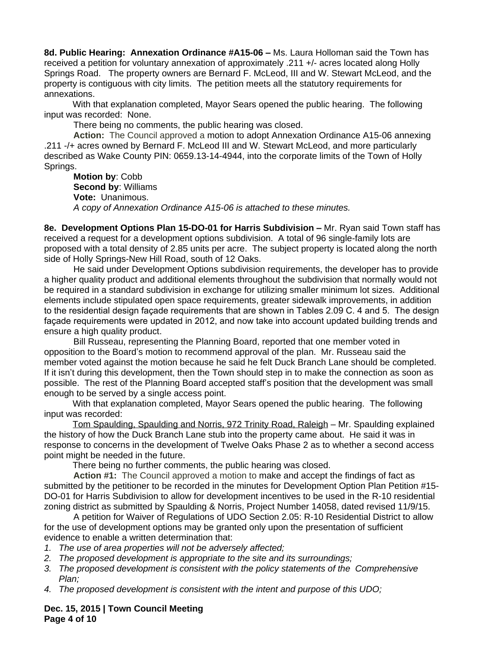**8d. Public Hearing: Annexation Ordinance #A15-06 –** Ms. Laura Holloman said the Town has received a petition for voluntary annexation of approximately .211 +/- acres located along Holly Springs Road. The property owners are Bernard F. McLeod, III and W. Stewart McLeod, and the property is contiguous with city limits. The petition meets all the statutory requirements for annexations.

With that explanation completed, Mayor Sears opened the public hearing. The following input was recorded: None.

There being no comments, the public hearing was closed.

**Action:** The Council approved a motion to adopt Annexation Ordinance A15-06 annexing .211 -/+ acres owned by Bernard F. McLeod III and W. Stewart McLeod, and more particularly described as Wake County PIN: 0659.13-14-4944, into the corporate limits of the Town of Holly Springs.

**Motion by**: Cobb **Second by**: Williams **Vote:** Unanimous. *A copy of Annexation Ordinance A15-06 is attached to these minutes.*

**8e. Development Options Plan 15-DO-01 for Harris Subdivision – Mr. Ryan said Town staff has** received a request for a development options subdivision. A total of 96 single-family lots are proposed with a total density of 2.85 units per acre. The subject property is located along the north side of Holly Springs-New Hill Road, south of 12 Oaks.

He said under Development Options subdivision requirements, the developer has to provide a higher quality product and additional elements throughout the subdivision that normally would not be required in a standard subdivision in exchange for utilizing smaller minimum lot sizes. Additional elements include stipulated open space requirements, greater sidewalk improvements, in addition to the residential design façade requirements that are shown in Tables 2.09 C. 4 and 5. The design façade requirements were updated in 2012, and now take into account updated building trends and ensure a high quality product.

Bill Russeau, representing the Planning Board, reported that one member voted in opposition to the Board's motion to recommend approval of the plan. Mr. Russeau said the member voted against the motion because he said he felt Duck Branch Lane should be completed. If it isn't during this development, then the Town should step in to make the connection as soon as possible. The rest of the Planning Board accepted staff's position that the development was small enough to be served by a single access point.

With that explanation completed, Mayor Sears opened the public hearing. The following input was recorded:

Tom Spaulding, Spaulding and Norris, 972 Trinity Road, Raleigh – Mr. Spaulding explained the history of how the Duck Branch Lane stub into the property came about. He said it was in response to concerns in the development of Twelve Oaks Phase 2 as to whether a second access point might be needed in the future.

There being no further comments, the public hearing was closed.

**Action #1:** The Council approved a motion to make and accept the findings of fact as submitted by the petitioner to be recorded in the minutes for Development Option Plan Petition #15- DO-01 for Harris Subdivision to allow for development incentives to be used in the R-10 residential zoning district as submitted by Spaulding & Norris, Project Number 14058, dated revised 11/9/15.

A petition for Waiver of Regulations of UDO Section 2.05: R-10 Residential District to allow for the use of development options may be granted only upon the presentation of sufficient evidence to enable a written determination that:

- *1. The use of area properties will not be adversely affected;*
- *2. The proposed development is appropriate to the site and its surroundings;*
- *3. The proposed development is consistent with the policy statements of the Comprehensive Plan;*
- *4. The proposed development is consistent with the intent and purpose of this UDO;*

**Dec. 15, 2015 | Town Council Meeting Page 4 of 10**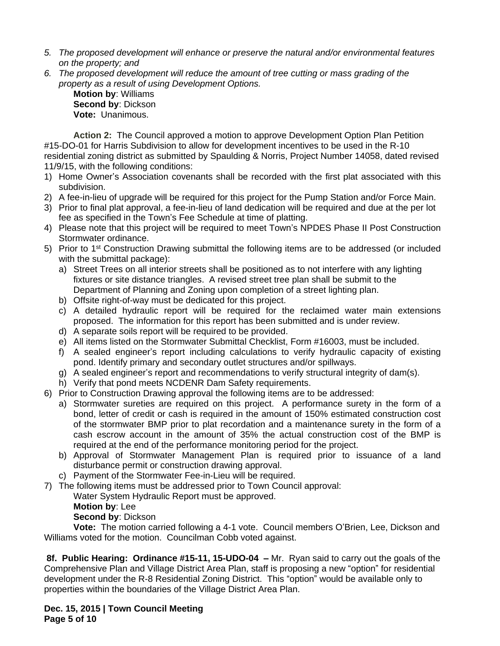- *5. The proposed development will enhance or preserve the natural and/or environmental features on the property; and*
- *6. The proposed development will reduce the amount of tree cutting or mass grading of the property as a result of using Development Options.*

**Motion by**: Williams **Second by**: Dickson **Vote:** Unanimous.

**Action 2:** The Council approved a motion to approve Development Option Plan Petition #15-DO-01 for Harris Subdivision to allow for development incentives to be used in the R-10 residential zoning district as submitted by Spaulding & Norris, Project Number 14058, dated revised 11/9/15, with the following conditions:

- 1) Home Owner's Association covenants shall be recorded with the first plat associated with this subdivision.
- 2) A fee-in-lieu of upgrade will be required for this project for the Pump Station and/or Force Main.
- 3) Prior to final plat approval, a fee-in-lieu of land dedication will be required and due at the per lot fee as specified in the Town's Fee Schedule at time of platting.
- 4) Please note that this project will be required to meet Town's NPDES Phase II Post Construction Stormwater ordinance.
- 5) Prior to 1<sup>st</sup> Construction Drawing submittal the following items are to be addressed (or included with the submittal package):
	- a) Street Trees on all interior streets shall be positioned as to not interfere with any lighting fixtures or site distance triangles. A revised street tree plan shall be submit to the Department of Planning and Zoning upon completion of a street lighting plan.
	- b) Offsite right-of-way must be dedicated for this project.
	- c) A detailed hydraulic report will be required for the reclaimed water main extensions proposed. The information for this report has been submitted and is under review.
	- d) A separate soils report will be required to be provided.
	- e) All items listed on the Stormwater Submittal Checklist, Form #16003, must be included.
	- f) A sealed engineer's report including calculations to verify hydraulic capacity of existing pond. Identify primary and secondary outlet structures and/or spillways.
	- g) A sealed engineer's report and recommendations to verify structural integrity of dam(s).
	- h) Verify that pond meets NCDENR Dam Safety requirements.
- 6) Prior to Construction Drawing approval the following items are to be addressed:
	- a) Stormwater sureties are required on this project. A performance surety in the form of a bond, letter of credit or cash is required in the amount of 150% estimated construction cost of the stormwater BMP prior to plat recordation and a maintenance surety in the form of a cash escrow account in the amount of 35% the actual construction cost of the BMP is required at the end of the performance monitoring period for the project.
	- b) Approval of Stormwater Management Plan is required prior to issuance of a land disturbance permit or construction drawing approval.
	- c) Payment of the Stormwater Fee-in-Lieu will be required.
- 7) The following items must be addressed prior to Town Council approval:

Water System Hydraulic Report must be approved.

**Motion by**: Lee

**Second by**: Dickson

**Vote:** The motion carried following a 4-1 vote. Council members O'Brien, Lee, Dickson and Williams voted for the motion. Councilman Cobb voted against.

**8f. Public Hearing: Ordinance #15-11, 15-UDO-04 –** Mr. Ryan said to carry out the goals of the Comprehensive Plan and Village District Area Plan, staff is proposing a new "option" for residential development under the R-8 Residential Zoning District. This "option" would be available only to properties within the boundaries of the Village District Area Plan.

**Dec. 15, 2015 | Town Council Meeting Page 5 of 10**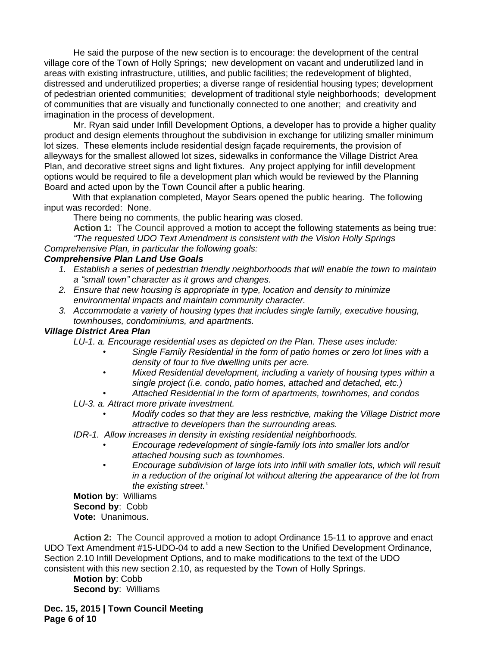He said the purpose of the new section is to encourage: the development of the central village core of the Town of Holly Springs; new development on vacant and underutilized land in areas with existing infrastructure, utilities, and public facilities; the redevelopment of blighted, distressed and underutilized properties; a diverse range of residential housing types; development of pedestrian oriented communities; development of traditional style neighborhoods; development of communities that are visually and functionally connected to one another; and creativity and imagination in the process of development.

Mr. Ryan said under Infill Development Options, a developer has to provide a higher quality product and design elements throughout the subdivision in exchange for utilizing smaller minimum lot sizes. These elements include residential design façade requirements, the provision of alleyways for the smallest allowed lot sizes, sidewalks in conformance the Village District Area Plan, and decorative street signs and light fixtures. Any project applying for infill development options would be required to file a development plan which would be reviewed by the Planning Board and acted upon by the Town Council after a public hearing.

With that explanation completed, Mayor Sears opened the public hearing. The following input was recorded: None.

There being no comments, the public hearing was closed.

**Action 1:** The Council approved a motion to accept the following statements as being true: *"The requested UDO Text Amendment is consistent with the Vision Holly Springs Comprehensive Plan, in particular the following goals:* 

## *Comprehensive Plan Land Use Goals*

- *1. Establish a series of pedestrian friendly neighborhoods that will enable the town to maintain a "small town" character as it grows and changes.*
- *2. Ensure that new housing is appropriate in type, location and density to minimize environmental impacts and maintain community character.*
- *3. Accommodate a variety of housing types that includes single family, executive housing, townhouses, condominiums, and apartments.*

## *Village District Area Plan*

*LU-1. a. Encourage residential uses as depicted on the Plan. These uses include:*

- *• Single Family Residential in the form of patio homes or zero lot lines with a density of four to five dwelling units per acre.*
- *• Mixed Residential development, including a variety of housing types within a single project (i.e. condo, patio homes, attached and detached, etc.)*
- *• Attached Residential in the form of apartments, townhomes, and condos*
- *LU-3. a. Attract more private investment.*
	- *• Modify codes so that they are less restrictive, making the Village District more attractive to developers than the surrounding areas.*
- *IDR-1. Allow increases in density in existing residential neighborhoods.*
	- *• Encourage redevelopment of single-family lots into smaller lots and/or attached housing such as townhomes.*
	- *• Encourage subdivision of large lots into infill with smaller lots, which will result in a reduction of the original lot without altering the appearance of the lot from the existing street."*

**Motion by**: Williams **Second by**: Cobb **Vote:** Unanimous.

**Action 2:** The Council approved a motion to adopt Ordinance 15-11 to approve and enact UDO Text Amendment #15-UDO-04 to add a new Section to the Unified Development Ordinance, Section 2.10 Infill Development Options, and to make modifications to the text of the UDO consistent with this new section 2.10, as requested by the Town of Holly Springs.

**Motion by**: Cobb **Second by**: Williams

**Dec. 15, 2015 | Town Council Meeting Page 6 of 10**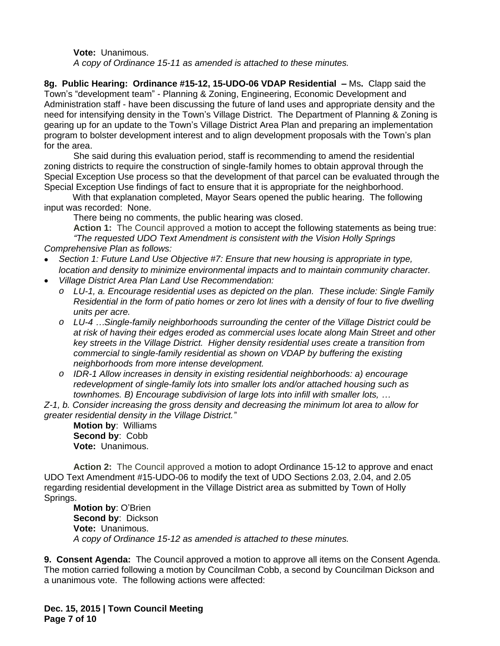**Vote:** Unanimous.

*A copy of Ordinance 15-11 as amended is attached to these minutes.*

**8g. Public Hearing: Ordinance #15-12, 15-UDO-06 VDAP Residential –** Ms**.** Clapp said the Town's "development team" - Planning & Zoning, Engineering, Economic Development and Administration staff - have been discussing the future of land uses and appropriate density and the need for intensifying density in the Town's Village District. The Department of Planning & Zoning is gearing up for an update to the Town's Village District Area Plan and preparing an implementation program to bolster development interest and to align development proposals with the Town's plan for the area.

She said during this evaluation period, staff is recommending to amend the residential zoning districts to require the construction of single-family homes to obtain approval through the Special Exception Use process so that the development of that parcel can be evaluated through the Special Exception Use findings of fact to ensure that it is appropriate for the neighborhood.

With that explanation completed, Mayor Sears opened the public hearing. The following input was recorded: None.

There being no comments, the public hearing was closed.

**Action 1:** The Council approved a motion to accept the following statements as being true: *"The requested UDO Text Amendment is consistent with the Vision Holly Springs Comprehensive Plan as follows:* 

- *Section 1: Future Land Use Objective #7: Ensure that new housing is appropriate in type, location and density to minimize environmental impacts and to maintain community character.*
- *Village District Area Plan Land Use Recommendation:*
	- *o LU-1, a. Encourage residential uses as depicted on the plan. These include: Single Family Residential in the form of patio homes or zero lot lines with a density of four to five dwelling units per acre.*
	- *o LU-4 …Single-family neighborhoods surrounding the center of the Village District could be at risk of having their edges eroded as commercial uses locate along Main Street and other key streets in the Village District. Higher density residential uses create a transition from commercial to single-family residential as shown on VDAP by buffering the existing neighborhoods from more intense development.*
	- *o IDR-1 Allow increases in density in existing residential neighborhoods: a) encourage redevelopment of single-family lots into smaller lots and/or attached housing such as townhomes. B) Encourage subdivision of large lots into infill with smaller lots, …*

*Z-1, b. Consider increasing the gross density and decreasing the minimum lot area to allow for greater residential density in the Village District."*

**Motion by**: Williams **Second by**: Cobb **Vote:** Unanimous.

**Action 2:** The Council approved a motion to adopt Ordinance 15-12 to approve and enact UDO Text Amendment #15-UDO-06 to modify the text of UDO Sections 2.03, 2.04, and 2.05 regarding residential development in the Village District area as submitted by Town of Holly Springs.

**Motion by**: O'Brien **Second by**: Dickson **Vote:** Unanimous. *A copy of Ordinance 15-12 as amended is attached to these minutes.*

**9. Consent Agenda:** The Council approved a motion to approve all items on the Consent Agenda. The motion carried following a motion by Councilman Cobb, a second by Councilman Dickson and a unanimous vote. The following actions were affected:

**Dec. 15, 2015 | Town Council Meeting Page 7 of 10**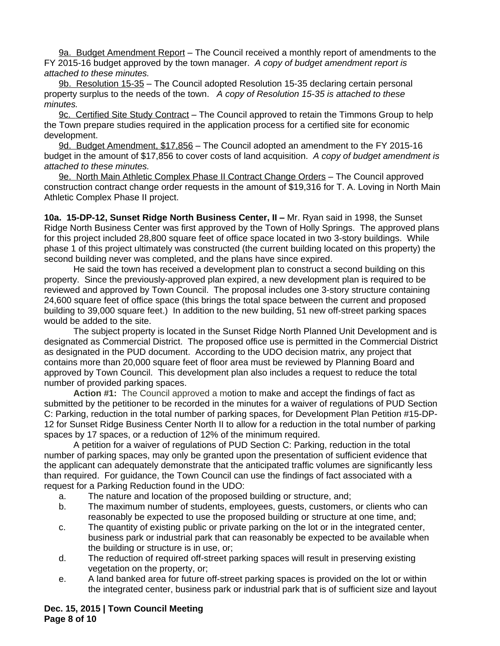9a. Budget Amendment Report – The Council received a monthly report of amendments to the FY 2015-16 budget approved by the town manager. *A copy of budget amendment report is attached to these minutes.*

9b. Resolution 15-35 – The Council adopted Resolution 15-35 declaring certain personal property surplus to the needs of the town. *A copy of Resolution 15-35 is attached to these minutes.* 

9c. Certified Site Study Contract – The Council approved to retain the Timmons Group to help the Town prepare studies required in the application process for a certified site for economic development.

9d. Budget Amendment, \$17,856 – The Council adopted an amendment to the FY 2015-16 budget in the amount of \$17,856 to cover costs of land acquisition. *A copy of budget amendment is attached to these minutes.*

9e. North Main Athletic Complex Phase II Contract Change Orders – The Council approved construction contract change order requests in the amount of \$19,316 for T. A. Loving in North Main Athletic Complex Phase II project.

**10a. 15-DP-12, Sunset Ridge North Business Center, II –** Mr. Ryan said in 1998, the Sunset Ridge North Business Center was first approved by the Town of Holly Springs. The approved plans for this project included 28,800 square feet of office space located in two 3-story buildings. While phase 1 of this project ultimately was constructed (the current building located on this property) the second building never was completed, and the plans have since expired.

He said the town has received a development plan to construct a second building on this property. Since the previously-approved plan expired, a new development plan is required to be reviewed and approved by Town Council. The proposal includes one 3-story structure containing 24,600 square feet of office space (this brings the total space between the current and proposed building to 39,000 square feet.) In addition to the new building, 51 new off-street parking spaces would be added to the site.

The subject property is located in the Sunset Ridge North Planned Unit Development and is designated as Commercial District. The proposed office use is permitted in the Commercial District as designated in the PUD document. According to the UDO decision matrix, any project that contains more than 20,000 square feet of floor area must be reviewed by Planning Board and approved by Town Council. This development plan also includes a request to reduce the total number of provided parking spaces.

**Action #1:** The Council approved a motion to make and accept the findings of fact as submitted by the petitioner to be recorded in the minutes for a waiver of regulations of PUD Section C: Parking, reduction in the total number of parking spaces, for Development Plan Petition #15-DP-12 for Sunset Ridge Business Center North II to allow for a reduction in the total number of parking spaces by 17 spaces, or a reduction of 12% of the minimum required.

A petition for a waiver of regulations of PUD Section C: Parking, reduction in the total number of parking spaces, may only be granted upon the presentation of sufficient evidence that the applicant can adequately demonstrate that the anticipated traffic volumes are significantly less than required. For guidance, the Town Council can use the findings of fact associated with a request for a Parking Reduction found in the UDO:

- a. The nature and location of the proposed building or structure, and;
- b. The maximum number of students, employees, guests, customers, or clients who can reasonably be expected to use the proposed building or structure at one time, and;
- c. The quantity of existing public or private parking on the lot or in the integrated center, business park or industrial park that can reasonably be expected to be available when the building or structure is in use, or;
- d. The reduction of required off-street parking spaces will result in preserving existing vegetation on the property, or;
- e. A land banked area for future off-street parking spaces is provided on the lot or within the integrated center, business park or industrial park that is of sufficient size and layout

**Dec. 15, 2015 | Town Council Meeting Page 8 of 10**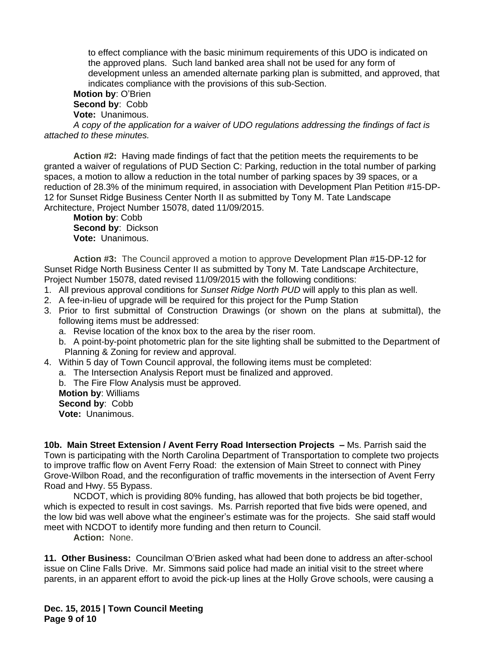to effect compliance with the basic minimum requirements of this UDO is indicated on the approved plans. Such land banked area shall not be used for any form of development unless an amended alternate parking plan is submitted, and approved, that indicates compliance with the provisions of this sub-Section.

**Motion by**: O'Brien **Second by**: Cobb

**Vote:** Unanimous.

*A copy of the application for a waiver of UDO regulations addressing the findings of fact is attached to these minutes.* 

**Action #2:** Having made findings of fact that the petition meets the requirements to be granted a waiver of regulations of PUD Section C: Parking, reduction in the total number of parking spaces, a motion to allow a reduction in the total number of parking spaces by 39 spaces, or a reduction of 28.3% of the minimum required, in association with Development Plan Petition #15-DP-12 for Sunset Ridge Business Center North II as submitted by Tony M. Tate Landscape Architecture, Project Number 15078, dated 11/09/2015.

**Motion by**: Cobb **Second by**: Dickson **Vote:** Unanimous.

**Action #3:** The Council approved a motion to approve Development Plan #15-DP-12 for Sunset Ridge North Business Center II as submitted by Tony M. Tate Landscape Architecture, Project Number 15078, dated revised 11/09/2015 with the following conditions:

- 1. All previous approval conditions for *Sunset Ridge North PUD* will apply to this plan as well.
- 2. A fee-in-lieu of upgrade will be required for this project for the Pump Station
- 3. Prior to first submittal of Construction Drawings (or shown on the plans at submittal), the following items must be addressed:
	- a. Revise location of the knox box to the area by the riser room.
	- b. A point-by-point photometric plan for the site lighting shall be submitted to the Department of Planning & Zoning for review and approval.
- 4. Within 5 day of Town Council approval, the following items must be completed:
	- a. The Intersection Analysis Report must be finalized and approved.
		- b. The Fire Flow Analysis must be approved.

**Motion by**: Williams **Second by**: Cobb

**Vote:** Unanimous.

**10b. Main Street Extension / Avent Ferry Road Intersection Projects –** Ms. Parrish said the Town is participating with the North Carolina Department of Transportation to complete two projects to improve traffic flow on Avent Ferry Road: the extension of Main Street to connect with Piney Grove-Wilbon Road, and the reconfiguration of traffic movements in the intersection of Avent Ferry Road and Hwy. 55 Bypass.

NCDOT, which is providing 80% funding, has allowed that both projects be bid together, which is expected to result in cost savings. Ms. Parrish reported that five bids were opened, and the low bid was well above what the engineer's estimate was for the projects. She said staff would meet with NCDOT to identify more funding and then return to Council.

**Action:** None.

**11. Other Business:** Councilman O'Brien asked what had been done to address an after-school issue on Cline Falls Drive. Mr. Simmons said police had made an initial visit to the street where parents, in an apparent effort to avoid the pick-up lines at the Holly Grove schools, were causing a

**Dec. 15, 2015 | Town Council Meeting Page 9 of 10**